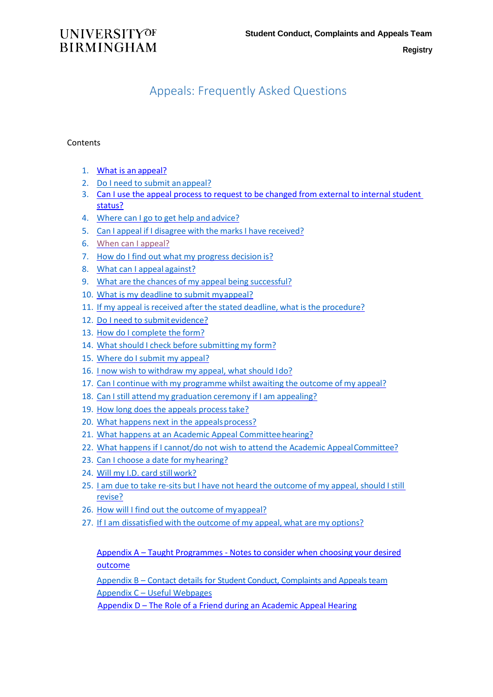**Registry**

# **UNIVERSITYOF BIRMINGHAM**

# Appeals: Frequently Asked Questions

### **Contents**

- 1. [What is an](#page-1-0) appeal?
- 2. Do I need to submit anappeal?
- 3. [Can I use the appeal process to request to be changed from external to internal student](#page-1-1)  [status?](#page-1-1)
- 4. Where can I go to get help and advice?
- 5. Can I appeal if I disagree with the marks I have received?
- 6. When can I appeal?
- 7. [How do I find out what my progress decision](#page-2-0) is?
- 8. [What can I appeal](#page-2-1) against?
- 9. What are the chances of my appeal being [successful?](#page-2-2)
- 10. [What is my deadline to submit myappeal?](#page-2-3)
- 11. If my appeal is received after the stated deadline, what is the procedure?
- 12. [Do I need to submitevidence?](#page-3-0)
- 13. [How do I complete the](#page-3-1) form?
- 14. What should I check before submitting my form?
- 15. [Where do I submit my](#page-4-1) appeal?
- 16. [I now wish to withdraw my appeal, what should Ido?](#page-4-2)
- 17. Can I continue with my [programme](#page-5-0) whilst awaiting the outcome of my appeal?
- 18. Can I still attend my [graduation](#page-5-1) ceremony if I am appealing?
- 19. How long does the appeals process take?
- 20. What happens next in the appeals process?
- 21. What happens at an Academic Appeal Committee hearing?
- 22. What happens if I cannot/do not wish to attend the Academic Appeal Committee?
- 23. [Can I choose a date for myhearing?](#page-6-2)
- 24. [Will my I.D. card stillwork?](#page-6-3)
- 25. I am due to take re-sits but I have not heard the [outcome](#page-6-4) of my appeal, should I stil[l](#page-6-4) [revise?](#page-6-4)
- 26. [How will I find out the outcome of myappeal?](#page-6-5)
- 27. If I am [dissatisfied](#page-6-6) with the outcome of my appeal, what are my options?

Appendix A – Taught Programmes - [Notes to consider when choosing your desired](#page-8-0) [outcome](#page-8-0)

Appendix B – [Contact details for Student Conduct, Complaints and Appeals team](#page-9-0) Appendix C – [Useful Webpages](#page-9-1)

Appendix D – [The Role of a Friend during an Academic Appeal Hearing](#page-10-0)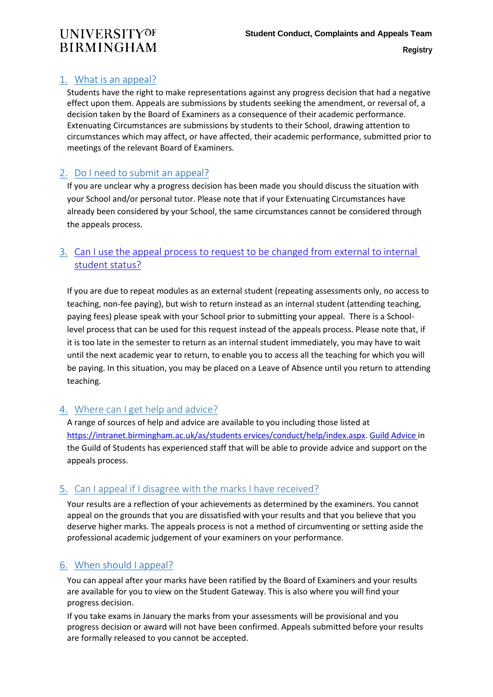## <span id="page-1-0"></span>1. What is an appeal?

Students have the right to make representations against any progress decision that had a negative effect upon them. Appeals are submissions by students seeking the amendment, or reversal of, a decision taken by the Board of Examiners as a consequence of their academic performance. Extenuating Circumstances are submissions by students to their School, drawing attention to circumstances which may affect, or have affected, their academic performance, submitted prior to meetings of the relevant Board of Examiners.

## 2. Do I need to submit an appeal?

If you are unclear why a progress decision has been made you should discuss the situation with your School and/or personal tutor. Please note that if your Extenuating Circumstances have already been considered by your School, the same circumstances cannot be considered through the appeals process.

## <span id="page-1-1"></span>3. [Can I use the appeal process to request to be changed from external to internal](#page-1-1)  [student status?](#page-1-1)

If you are due to repeat modules as an external student (repeating assessments only, no access to teaching, non-fee paying), but wish to return instead as an internal student (attending teaching, paying fees) please speak with your School prior to submitting your appeal. There is a Schoollevel process that can be used for this request instead of the appeals process. Please note that, if it is too late in the semester to return as an internal student immediately, you may have to wait until the next academic year to return, to enable you to access all the teaching for which you will be paying. In this situation, you may be placed on a Leave of Absence until you return to attending teaching.

## 4. Where can I get help and advice?

A range of sources of help and advice are available to you including those listed at [https://intranet.birmingham.ac.uk/as/students ervices/conduct/help/index.aspx.](https://intranet.birmingham.ac.uk/as/studentservices/conduct/help/index.aspx) [Guild Advice i](https://www.guildofstudents.com/support/guildadvice/who-we-are-guild-advice/)n the Guild of Students has experienced staff that will be able to provide advice and support on the appeals process.

## 5. Can I appeal if I disagree with the marks I have received?

Your results are a reflection of your achievements as determined by the examiners. You cannot appeal on the grounds that you are dissatisfied with your results and that you believe that you deserve higher marks. The appeals process is not a method of circumventing or setting aside the professional academic judgement of your examiners on your performance.

## 6. When should I appeal?

You can appeal after your marks have been ratified by the Board of Examiners and your results are available for you to view on the Student Gateway. This is also where you will find your progress decision.

If you take exams in January the marks from your assessments will be provisional and you progress decision or award will not have been confirmed. Appeals submitted before your results are formally released to you cannot be accepted.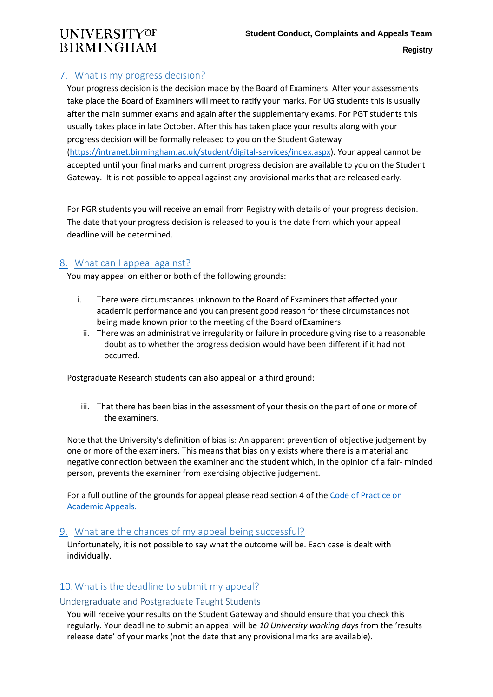## <span id="page-2-0"></span>7. What is my progress decision?

Your progress decision is the decision made by the Board of Examiners. After your assessments take place the Board of Examiners will meet to ratify your marks. For UG students this is usually after the main summer exams and again after the supplementary exams. For PGT students this usually takes place in late October. After this has taken place your results along with your progress decision will be formally released to you on the Student Gateway [\(https://intranet.birmingham.ac.uk/student/digital-services/index.aspx\)](https://intranet.birmingham.ac.uk/student/digital-services/index.aspx). Your appeal cannot be accepted until your final marks and current progress decision are available to you on the Student Gateway. It is not possible to appeal against any provisional marks that are released early.

For PGR students you will receive an email from Registry with details of your progress decision. The date that your progress decision is released to you is the date from which your appeal deadline will be determined.

### <span id="page-2-1"></span>8. What can I appeal against?

You may appeal on either or both of the following grounds:

- i. There were circumstances unknown to the Board of Examiners that affected your academic performance and you can present good reason for these circumstances not being made known prior to the meeting of the Board ofExaminers.
	- ii. There was an administrative irregularity or failure in procedure giving rise to a reasonable doubt as to whether the progress decision would have been different if it had not occurred.

Postgraduate Research students can also appeal on a third ground:

iii. That there has been bias in the assessment of your thesis on the part of one or more of the examiners.

Note that the University's definition of bias is: An apparent prevention of objective judgement by one or more of the examiners. This means that bias only exists where there is a material and negative connection between the examiner and the student which, in the opinion of a fair- minded person, prevents the examiner from exercising objective judgement.

For a full outline of the grounds for appeal please read section 4 of th[e Code of Practice on](https://intranet.birmingham.ac.uk/as/registry/legislation/codesofpractice/index.aspx) [Academic Appeals.](https://intranet.birmingham.ac.uk/as/registry/legislation/documents/public/Cohort-Legislation-2018-19/CoP-Academic-Appeals-18-19.pdf?securitytoken=W%2fyHI1KAd1BwOS%2bmcT7eNNWl7CMQUp8oVO%2btIEPlcZWqH0fLXNKa8NEPwWRK0l%2bYeFZ%2fBndZDZ4%3d)

### <span id="page-2-2"></span>9. What are the chances of my appeal being successful?

Unfortunately, it is not possible to say what the outcome will be. Each case is dealt with individually.

## <span id="page-2-3"></span>10.What is the deadline to submit my appeal?

### Undergraduate and Postgraduate Taught Students

You will receive your results on the Student Gateway and should ensure that you check this regularly. Your deadline to submit an appeal will be *10 University working days* from the 'results release date' of your marks (not the date that any provisional marks are available).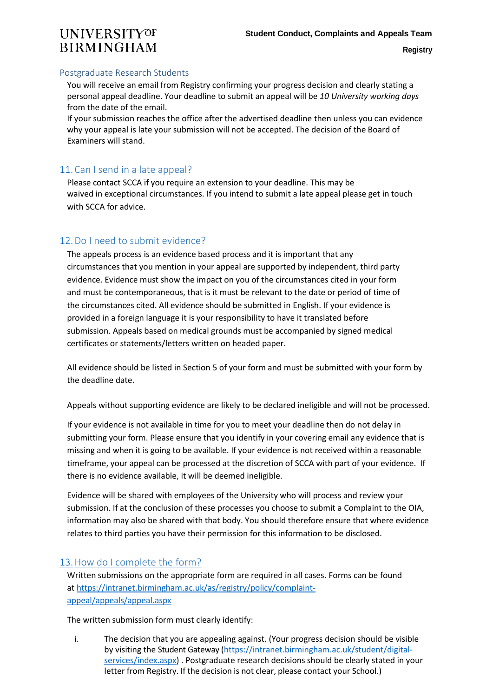#### Postgraduate Research Students

You will receive an email from Registry confirming your progress decision and clearly stating a personal appeal deadline. Your deadline to submit an appeal will be *10 University working days*  from the date of the email.

If your submission reaches the office after the advertised deadline then unless you can evidence why your appeal is late your submission will not be accepted. The decision of the Board of Examiners will stand.

## 11.Can I send in a late appeal?

Please contact SCCA if you require an extension to your deadline. This may be waived in exceptional circumstances. If you intend to submit a late appeal please get in touch with SCCA for advice.

## <span id="page-3-0"></span>12.Do I need to submit evidence?

The appeals process is an evidence based process and it is important that any circumstances that you mention in your appeal are supported by independent, third party evidence. Evidence must show the impact on you of the circumstances cited in your form and must be contemporaneous, that is it must be relevant to the date or period of time of the circumstances cited. All evidence should be submitted in English. If your evidence is provided in a foreign language it is your responsibility to have it translated before submission. Appeals based on medical grounds must be accompanied by signed medical certificates or statements/letters written on headed paper.

All evidence should be listed in Section 5 of your form and must be submitted with your form by the deadline date.

Appeals without supporting evidence are likely to be declared ineligible and will not be processed.

If your evidence is not available in time for you to meet your deadline then do not delay in submitting your form. Please ensure that you identify in your covering email any evidence that is missing and when it is going to be available. If your evidence is not received within a reasonable timeframe, your appeal can be processed at the discretion of SCCA with part of your evidence. If there is no evidence available, it will be deemed ineligible.

Evidence will be shared with employees of the University who will process and review your submission. If at the conclusion of these processes you choose to submit a Complaint to the OIA, information may also be shared with that body. You should therefore ensure that where evidence relates to third parties you have their permission for this information to be disclosed.

### <span id="page-3-1"></span>13.How do I complete the form?

Written submissions on the appropriate form are required in all cases. Forms can be found a[t https://intranet.birmingham.ac.uk/as/registry/policy/complaint](https://intranet.birmingham.ac.uk/as/registry/policy/complaint-appeal/appeals/appeal.aspx)[appeal/appeals/appeal.aspx](https://intranet.birmingham.ac.uk/as/registry/policy/complaint-appeal/appeals/appeal.aspx)

The written submission form must clearly identify:

i. The decision that you are appealing against. (Your progress decision should be visible by visiting the Student Gateway [\(https://intranet.birmingham.ac.uk/student/digital](https://intranet.birmingham.ac.uk/student/digital-services/index.aspx)[services/index.aspx\)](https://intranet.birmingham.ac.uk/student/digital-services/index.aspx) . Postgraduate research decisions should be clearly stated in your letter from Registry. If the decision is not clear, please contact your School.)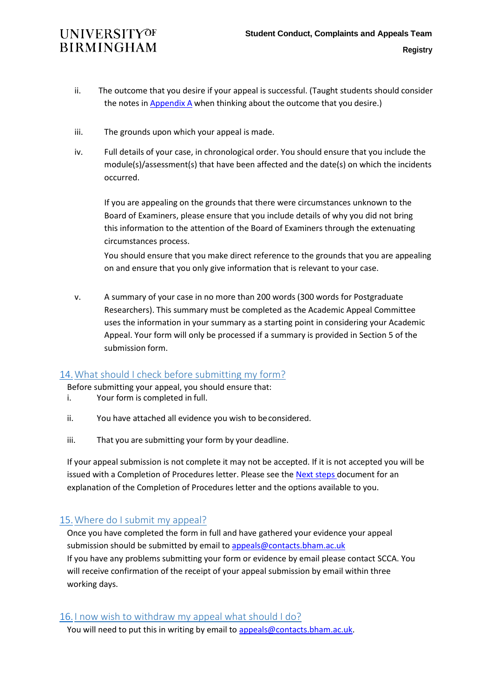- ii. The outcome that you desire if your appeal is successful. (Taught students should consider the notes in **[Appendix](#page-8-0) A** when thinking about the outcome that you desire.)
- iii. The grounds upon which your appeal is made.
- iv. Full details of your case, in chronological order. You should ensure that you include the module(s)/assessment(s) that have been affected and the date(s) on which the incidents occurred.

If you are appealing on the grounds that there were circumstances unknown to the Board of Examiners, please ensure that you include details of why you did not bring this information to the attention of the Board of Examiners through the extenuating circumstances process.

You should ensure that you make direct reference to the grounds that you are appealing on and ensure that you only give information that is relevant to your case.

v. A summary of your case in no more than 200 words (300 words for Postgraduate Researchers). This summary must be completed as the Academic Appeal Committee uses the information in your summary as a starting point in considering your Academic Appeal. Your form will only be processed if a summary is provided in Section 5 of the submission form.

### <span id="page-4-0"></span>14.What should I check before submitting my form?

Before submitting your appeal, you should ensure that:

- i. Your form is completed in full.
- ii. You have attached all evidence you wish to beconsidered.
- iii. That you are submitting your form by your deadline.

If your appeal submission is not complete it may not be accepted. If it is not accepted you will be issued with a Completion of Procedures letter. Please see the [Next steps d](https://intranet.birmingham.ac.uk/as/registry/policy/documents/public/student-appeals/next-steps.pdf)ocument for an explanation of the Completion of Procedures letter and the options available to you.

## <span id="page-4-1"></span>15.Where do I submit my appeal?

Once you have completed the form in full and have gathered your evidence your appeal submission should be submitted by email to [appeals@contacts.bham.ac.uk](mailto:appeals@contacts.bham.ac.uk) If you have any problems submitting your form or evidence by email please contact SCCA. You will receive confirmation of the receipt of your appeal submission by email within three working days.

### <span id="page-4-2"></span>16. I now wish to withdraw my appeal what should I do?

You will need to put this in writing by email to [appeals@contacts.bham.ac.uk.](mailto:appeals@contacts.bham.ac.uk)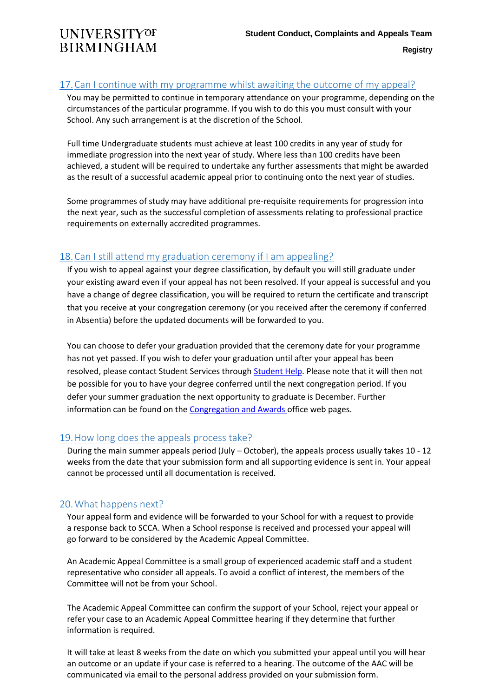### <span id="page-5-0"></span>17.Can I continue with my programme whilst awaiting the outcome of my appeal?

You may be permitted to continue in temporary attendance on your programme, depending on the circumstances of the particular programme. If you wish to do this you must consult with your School. Any such arrangement is at the discretion of the School.

Full time Undergraduate students must achieve at least 100 credits in any year of study for immediate progression into the next year of study. Where less than 100 credits have been achieved, a student will be required to undertake any further assessments that might be awarded as the result of a successful academic appeal prior to continuing onto the next year of studies.

Some programmes of study may have additional pre-requisite requirements for progression into the next year, such as the successful completion of assessments relating to professional practice requirements on externally accredited programmes.

### <span id="page-5-1"></span>18.Can I still attend my graduation ceremony if I am appealing?

If you wish to appeal against your degree classification, by default you will still graduate under your existing award even if your appeal has not been resolved. If your appeal is successful and you have a change of degree classification, you will be required to return the certificate and transcript that you receive at your congregation ceremony (or you received after the ceremony if conferred in Absentia) before the updated documents will be forwarded to you.

You can choose to defer your graduation provided that the ceremony date for your programme has not yet passed. If you wish to defer your graduation until after your appeal has been resolved, please contact Student Services throug[h Student Help.](https://intranet.birmingham.ac.uk/student/student-hub/homepage.aspx) Please note that it will then not be possible for you to have your degree conferred until the next congregation period. If you defer your summer graduation the next opportunity to graduate is December. Further information can be found on the **Congregation and Awards** office web pages.

### <span id="page-5-2"></span>19.How long does the appeals process take?

During the main summer appeals period (July – October), the appeals process usually takes 10 - 12 weeks from the date that your submission form and all supporting evidence is sent in. Your appeal cannot be processed until all documentation is received.

## <span id="page-5-3"></span>20.What happens next?

Your appeal form and evidence will be forwarded to your School for with a request to provide a response back to SCCA. When a School response is received and processed your appeal will go forward to be considered by the Academic Appeal Committee.

An Academic Appeal Committee is a small group of experienced academic staff and a student representative who consider all appeals. To avoid a conflict of interest, the members of the Committee will not be from your School.

The Academic Appeal Committee can confirm the support of your School, reject your appeal or refer your case to an Academic Appeal Committee hearing if they determine that further information is required.

It will take at least 8 weeks from the date on which you submitted your appeal until you will hear an outcome or an update if your case is referred to a hearing. The outcome of the AAC will be communicated via email to the personal address provided on your submission form.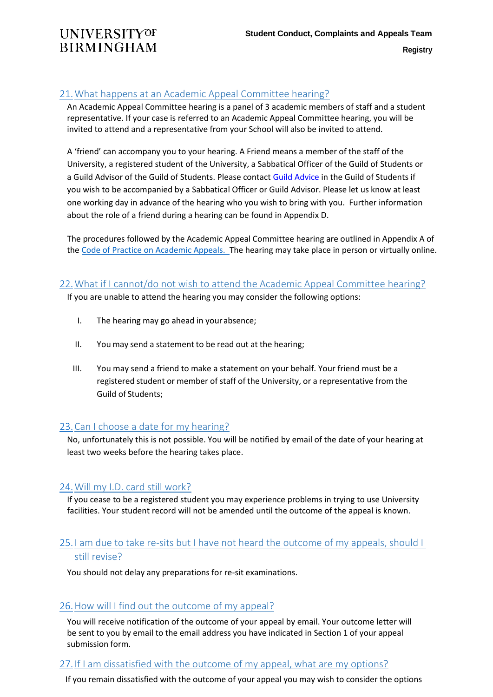## <span id="page-6-0"></span>21.What happens at an Academic Appeal Committee hearing?

An Academic Appeal Committee hearing is a panel of 3 academic members of staff and a student representative. If your case is referred to an Academic Appeal Committee hearing, you will be invited to attend and a representative from your School will also be invited to attend.

A 'friend' can accompany you to your hearing. A Friend means a member of the staff of the University, a registered student of the University, a Sabbatical Officer of the Guild of Students or a Guild Advisor of the Guild of Students. Please contac[t Guild Advice i](https://www.guildofstudents.com/support/guildadvice/who-we-are-guild-advice/)n the Guild of Students if you wish to be accompanied by a Sabbatical Officer or Guild Advisor. Please let us know at least one working day in advance of the hearing who you wish to bring with you. Further information about the role of a friend during a hearing can be found in Appendix D.

The procedures followed by the Academic Appeal Committee hearing are outlined in Appendix A of th[e Code of Practice on Academic Appeals.](https://intranet.birmingham.ac.uk/as/registry/legislation/codesofpractice/index.aspx) The hearing may take place in person or virtually online.

### <span id="page-6-1"></span>22.What if I cannot/do not wish to attend the Academic Appeal Committee hearing?

If you are unable to attend the hearing you may consider the following options:

- I. The hearing may go ahead in yourabsence;
- II. You may send a statement to be read out at the hearing;
- III. You may send a friend to make a statement on your behalf. Your friend must be a registered student or member of staff of the University, or a representative from the Guild of Students;

### <span id="page-6-2"></span>23.Can I choose a date for my hearing?

No, unfortunately this is not possible. You will be notified by email of the date of your hearing at least two weeks before the hearing takes place.

### <span id="page-6-3"></span>24.Will my I.D. card still work?

If you cease to be a registered student you may experience problems in trying to use University facilities. Your student record will not be amended until the outcome of the appeal is known.

## <span id="page-6-4"></span>25. I am due to take re-sits but I have not heard the outcome of my appeals, should I still revise?

You should not delay any preparations for re-sit examinations.

## <span id="page-6-5"></span>26.How will I find out the outcome of my appeal?

You will receive notification of the outcome of your appeal by email. Your outcome letter will be sent to you by email to the email address you have indicated in Section 1 of your appeal submission form.

### <span id="page-6-6"></span>27. If I am dissatisfied with the outcome of my appeal, what are my options?

If you remain dissatisfied with the outcome of your appeal you may wish to consider the options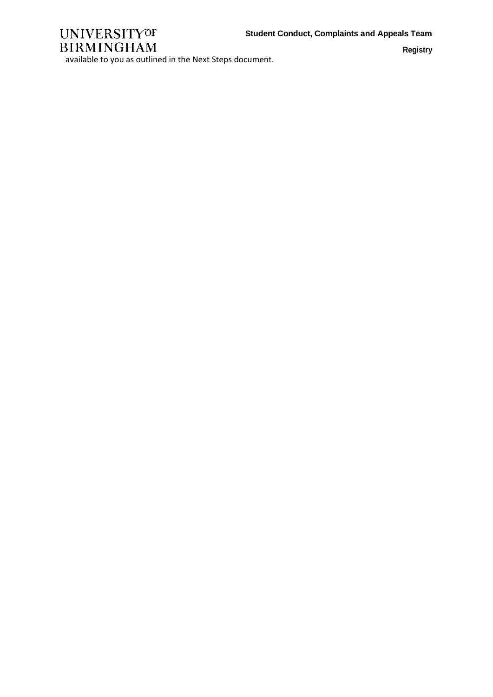

**Registry**

available to you as outlined in the Next Steps document.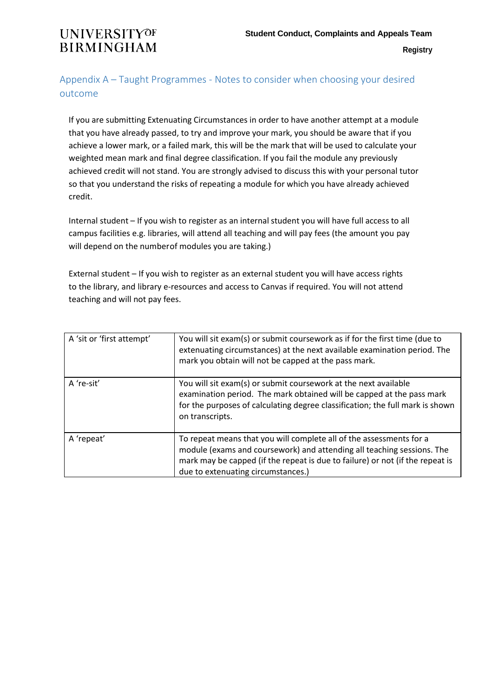## <span id="page-8-0"></span>Appendix A – Taught Programmes - Notes to consider when choosing your desired outcome

If you are submitting Extenuating Circumstances in order to have another attempt at a module that you have already passed, to try and improve your mark, you should be aware that if you achieve a lower mark, or a failed mark, this will be the mark that will be used to calculate your weighted mean mark and final degree classification. If you fail the module any previously achieved credit will not stand. You are strongly advised to discuss this with your personal tutor so that you understand the risks of repeating a module for which you have already achieved credit.

Internal student – If you wish to register as an internal student you will have full access to all campus facilities e.g. libraries, will attend all teaching and will pay fees (the amount you pay will depend on the numberof modules you are taking.)

External student – If you wish to register as an external student you will have access rights to the library, and library e-resources and access to Canvas if required. You will not attend teaching and will not pay fees.

| A 'sit or 'first attempt' | You will sit exam(s) or submit coursework as if for the first time (due to<br>extenuating circumstances) at the next available examination period. The<br>mark you obtain will not be capped at the pass mark.                                                       |
|---------------------------|----------------------------------------------------------------------------------------------------------------------------------------------------------------------------------------------------------------------------------------------------------------------|
| A 're-sit'                | You will sit exam(s) or submit coursework at the next available<br>examination period. The mark obtained will be capped at the pass mark<br>for the purposes of calculating degree classification; the full mark is shown<br>on transcripts.                         |
| A 'repeat'                | To repeat means that you will complete all of the assessments for a<br>module (exams and coursework) and attending all teaching sessions. The<br>mark may be capped (if the repeat is due to failure) or not (if the repeat is<br>due to extenuating circumstances.) |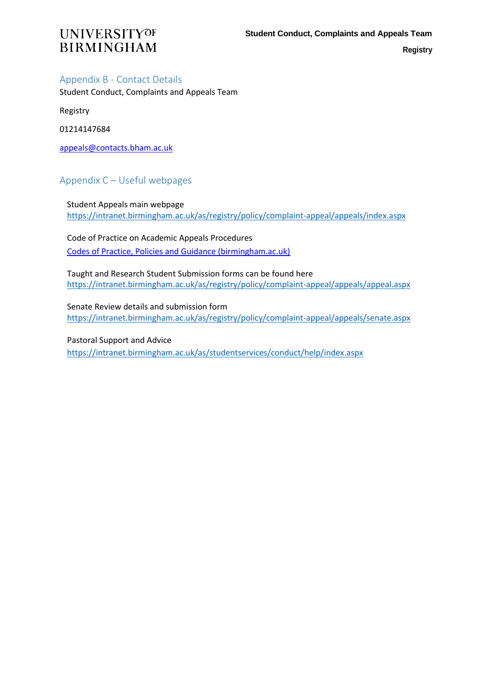### <span id="page-9-0"></span>Appendix B - Contact Details

Student Conduct, Complaints and Appeals Team

Registry

01214147684

[appeals@contacts.bham.ac.uk](mailto:appeals@contacts.bham.ac.uk)

## <span id="page-9-1"></span>Appendix C – Useful webpages

Student Appeals main webpage <https://intranet.birmingham.ac.uk/as/registry/policy/complaint-appeal/appeals/index.aspx>

Code of Practice on Academic Appeals Procedures [Codes of Practice, Policies and Guidance \(birmingham.ac.uk\)](https://intranet.birmingham.ac.uk/as/registry/legislation/codesofpractice/index.aspx)

Taught and Research Student Submission forms can be found here <https://intranet.birmingham.ac.uk/as/registry/policy/complaint-appeal/appeals/appeal.aspx>

Senate Review details and submission form <https://intranet.birmingham.ac.uk/as/registry/policy/complaint-appeal/appeals/senate.aspx>

Pastoral Support and Advice <https://intranet.birmingham.ac.uk/as/studentservices/conduct/help/index.aspx>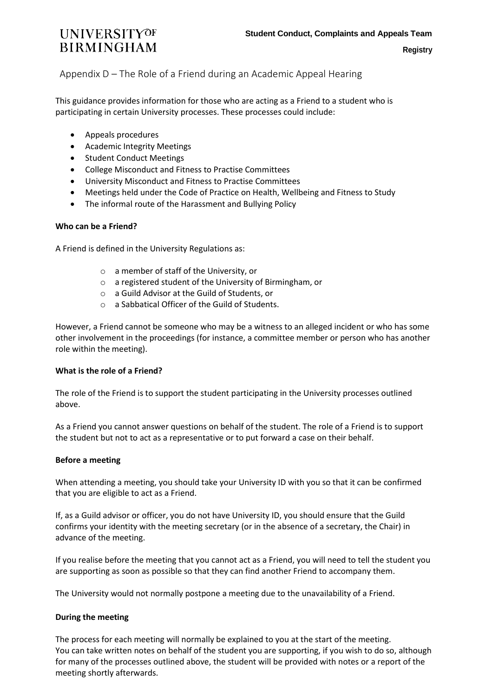### <span id="page-10-0"></span>Appendix D – The Role of a Friend during an Academic Appeal Hearing

This guidance provides information for those who are acting as a Friend to a student who is participating in certain University processes. These processes could include:

- Appeals procedures
- Academic Integrity Meetings
- Student Conduct Meetings
- College Misconduct and Fitness to Practise Committees
- University Misconduct and Fitness to Practise Committees
- Meetings held under the Code of Practice on Health, Wellbeing and Fitness to Study
- The informal route of the Harassment and Bullying Policy

#### **Who can be a Friend?**

A Friend is defined in the University Regulations as:

- o a member of staff of the University, or
- o a registered student of the University of Birmingham, or
- o a Guild Advisor at the Guild of Students, or
- o a Sabbatical Officer of the Guild of Students.

However, a Friend cannot be someone who may be a witness to an alleged incident or who has some other involvement in the proceedings (for instance, a committee member or person who has another role within the meeting).

#### **What is the role of a Friend?**

The role of the Friend is to support the student participating in the University processes outlined above.

As a Friend you cannot answer questions on behalf of the student. The role of a Friend is to support the student but not to act as a representative or to put forward a case on their behalf.

#### **Before a meeting**

When attending a meeting, you should take your University ID with you so that it can be confirmed that you are eligible to act as a Friend.

If, as a Guild advisor or officer, you do not have University ID, you should ensure that the Guild confirms your identity with the meeting secretary (or in the absence of a secretary, the Chair) in advance of the meeting.

If you realise before the meeting that you cannot act as a Friend, you will need to tell the student you are supporting as soon as possible so that they can find another Friend to accompany them.

The University would not normally postpone a meeting due to the unavailability of a Friend.

#### **During the meeting**

The process for each meeting will normally be explained to you at the start of the meeting. You can take written notes on behalf of the student you are supporting, if you wish to do so, although for many of the processes outlined above, the student will be provided with notes or a report of the meeting shortly afterwards.